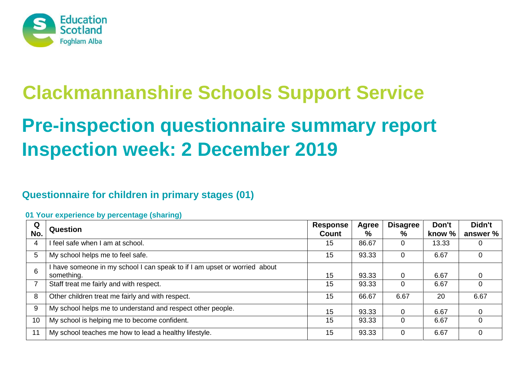

# **Clackmannanshire Schools Support Service**

# **Pre-inspection questionnaire summary report Inspection week: 2 December 2019**

# **Questionnaire for children in primary stages (01)**

| Q<br>No. | <b>Question</b>                                                                         | Response<br><b>Count</b> | Agree<br>% | <b>Disagree</b><br>% | Don't<br>know % | Didn't<br>answer % |
|----------|-----------------------------------------------------------------------------------------|--------------------------|------------|----------------------|-----------------|--------------------|
| 4        | I feel safe when I am at school.                                                        | 15                       | 86.67      |                      | 13.33           |                    |
| 5        | My school helps me to feel safe.                                                        | 15                       | 93.33      |                      | 6.67            |                    |
| 6        | I have someone in my school I can speak to if I am upset or worried about<br>something. | 15                       | 93.33      |                      | 6.67            |                    |
|          | Staff treat me fairly and with respect.                                                 | 15                       | 93.33      |                      | 6.67            |                    |
| 8        | Other children treat me fairly and with respect.                                        | 15                       | 66.67      | 6.67                 | 20              | 6.67               |
| 9        | My school helps me to understand and respect other people.                              | 15                       | 93.33      |                      | 6.67            |                    |
| 10       | My school is helping me to become confident.                                            | 15                       | 93.33      |                      | 6.67            |                    |
| 11       | My school teaches me how to lead a healthy lifestyle.                                   | 15                       | 93.33      |                      | 6.67            |                    |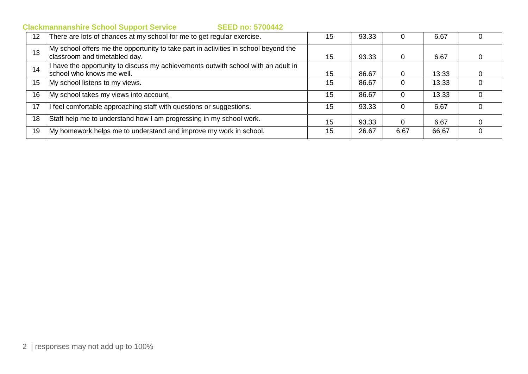| 12 <sub>2</sub> | There are lots of chances at my school for me to get regular exercise.                                               | 15 | 93.33 |      | 6.67  |          |
|-----------------|----------------------------------------------------------------------------------------------------------------------|----|-------|------|-------|----------|
| 13              | My school offers me the opportunity to take part in activities in school beyond the<br>classroom and timetabled day. | 15 | 93.33 | O    | 6.67  | 0        |
| 14              | I have the opportunity to discuss my achievements outwith school with an adult in<br>school who knows me well.       | 15 | 86.67 |      | 13.33 |          |
| 15              | My school listens to my views.                                                                                       | 15 | 86.67 |      | 13.33 |          |
| 16              | My school takes my views into account.                                                                               | 15 | 86.67 |      | 13.33 | $\Omega$ |
| 17              | I feel comfortable approaching staff with questions or suggestions.                                                  | 15 | 93.33 |      | 6.67  |          |
| 18              | Staff help me to understand how I am progressing in my school work.                                                  | 15 | 93.33 |      | 6.67  |          |
| 19              | My homework helps me to understand and improve my work in school.                                                    | 15 | 26.67 | 6.67 | 66.67 |          |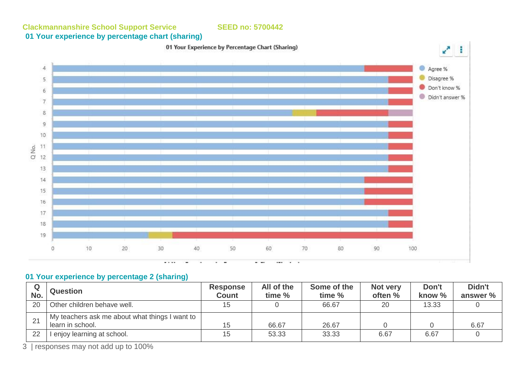# **01 Your experience by percentage chart (sharing)**



#### **01 Your experience by percentage 2 (sharing)**

| No. | <b>Question</b>                                                    | <b>Response</b><br><b>Count</b> | All of the<br>time % | Some of the<br>time % | Not very<br>often % | Don't<br>know % | Didn't<br>answer % |
|-----|--------------------------------------------------------------------|---------------------------------|----------------------|-----------------------|---------------------|-----------------|--------------------|
| 20  | Other children behave well.                                        |                                 |                      | 66.67                 | 20                  | 13.33           |                    |
| 21  | My teachers ask me about what things I want to<br>learn in school. | 15                              | 66.67                | 26.67                 |                     |                 | 6.67               |
| 22  | enjoy learning at school.                                          | 15                              | 53.33                | 33.33                 | 6.67                | 6.67            |                    |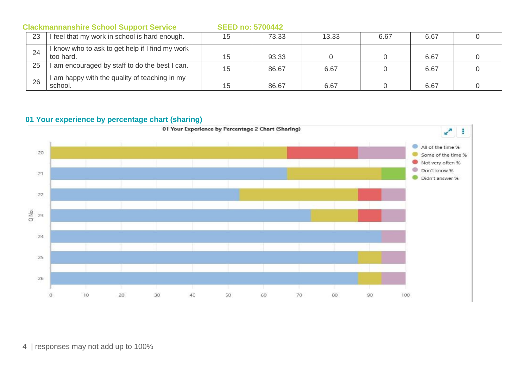|    | <b>Clackmannanshire School Support Service</b>             | <b>SEED no: 5700442</b> |       |       |      |      |  |
|----|------------------------------------------------------------|-------------------------|-------|-------|------|------|--|
| 23 | I feel that my work in school is hard enough.              | 15                      | 73.33 | 13.33 | 6.67 | 6.67 |  |
| 24 | know who to ask to get help if I find my work<br>too hard. | 15                      | 93.33 |       |      | 6.67 |  |
| 25 | am encouraged by staff to do the best I can.               | 15                      | 86.67 | 6.67  |      | 6.67 |  |
| 26 | am happy with the quality of teaching in my<br>school.     | 15                      | 86.67 | 6.67  |      | 6.67 |  |

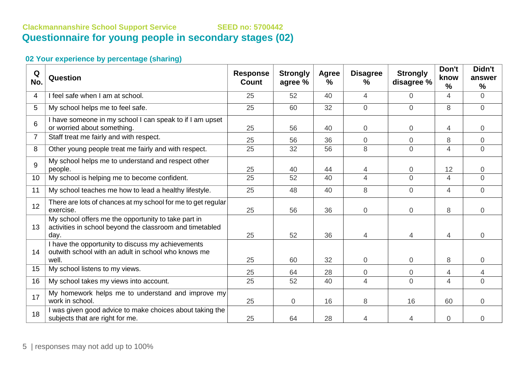# **Clackmannanshire School Support Service SEED no: 5700442 Questionnaire for young people in secondary stages (02)**

| Q<br>No.        | Question                                                                                                                | <b>Response</b><br>Count | <b>Strongly</b><br>agree % | <b>Agree</b><br>$\%$ | <b>Disagree</b><br>$\frac{0}{0}$ | <b>Strongly</b><br>disagree % | Don't<br>know<br>$\frac{0}{0}$ | Didn't<br>answer<br>$\frac{9}{6}$ |
|-----------------|-------------------------------------------------------------------------------------------------------------------------|--------------------------|----------------------------|----------------------|----------------------------------|-------------------------------|--------------------------------|-----------------------------------|
| 4               | I feel safe when I am at school.                                                                                        | 25                       | 52                         | 40                   | 4                                | 0                             | 4                              | $\overline{0}$                    |
| 5               | My school helps me to feel safe.                                                                                        | 25                       | 60                         | 32                   | $\overline{0}$                   | $\overline{0}$                | 8                              | $\overline{0}$                    |
| 6               | I have someone in my school I can speak to if I am upset<br>or worried about something.                                 | 25                       | 56                         | 40                   | $\mathbf 0$                      | $\overline{0}$                | 4                              | $\overline{0}$                    |
| $\overline{7}$  | Staff treat me fairly and with respect.                                                                                 | 25                       | 56                         | 36                   | $\overline{0}$                   | $\overline{0}$                | 8                              | $\overline{0}$                    |
| 8               | Other young people treat me fairly and with respect.                                                                    | 25                       | 32                         | 56                   | 8                                | $\overline{0}$                | $\overline{4}$                 | $\overline{0}$                    |
| 9               | My school helps me to understand and respect other<br>people.                                                           | 25                       | 40                         | 44                   | 4                                | 0                             | 12                             | $\overline{0}$                    |
| 10 <sup>°</sup> | My school is helping me to become confident.                                                                            | 25                       | 52                         | 40                   | $\overline{4}$                   | $\overline{0}$                | $\overline{4}$                 | $\Omega$                          |
| 11              | My school teaches me how to lead a healthy lifestyle.                                                                   | 25                       | 48                         | 40                   | 8                                | $\overline{0}$                | $\overline{4}$                 | $\overline{0}$                    |
| 12              | There are lots of chances at my school for me to get regular<br>exercise.                                               | 25                       | 56                         | 36                   | $\mathbf 0$                      | $\overline{0}$                | 8                              | $\overline{0}$                    |
| 13              | My school offers me the opportunity to take part in<br>activities in school beyond the classroom and timetabled<br>day. | 25                       | 52                         | 36                   | 4                                | 4                             | 4                              | $\overline{0}$                    |
| 14              | I have the opportunity to discuss my achievements<br>outwith school with an adult in school who knows me<br>well.       | 25                       | 60                         | 32                   | $\overline{0}$                   | $\overline{0}$                | 8                              | $\overline{0}$                    |
| 15              | My school listens to my views.                                                                                          | 25                       | 64                         | 28                   | $\overline{0}$                   | 0                             | 4                              | 4                                 |
| 16              | My school takes my views into account.                                                                                  | 25                       | 52                         | 40                   | 4                                | $\overline{0}$                | 4                              | $\Omega$                          |
| 17              | My homework helps me to understand and improve my<br>work in school.                                                    | 25                       | 0                          | 16                   | 8                                | 16                            | 60                             | $\overline{0}$                    |
| 18              | I was given good advice to make choices about taking the<br>subjects that are right for me.                             | 25                       | 64                         | 28                   | 4                                | 4                             | $\overline{0}$                 | $\overline{0}$                    |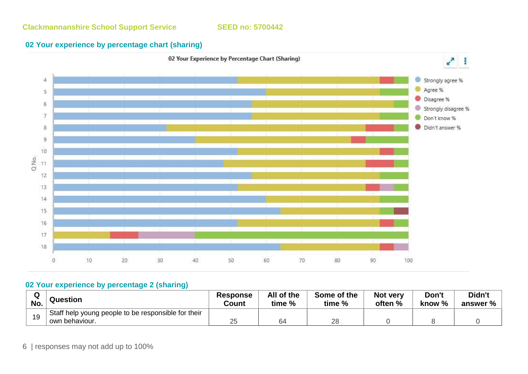

#### **02 Your experience by percentage 2 (sharing)**

| w   | Question                                                              | <b>Response</b> | All of the   | Some of the | <b>Not very</b> | Don't  | Didn't   |
|-----|-----------------------------------------------------------------------|-----------------|--------------|-------------|-----------------|--------|----------|
| No. |                                                                       | Count           | time %       | time %      | often %         | know % | answer % |
| 10  | Staff help young people to be responsible for their<br>own behaviour. | 25              | $\sim$<br>64 | 28          |                 |        |          |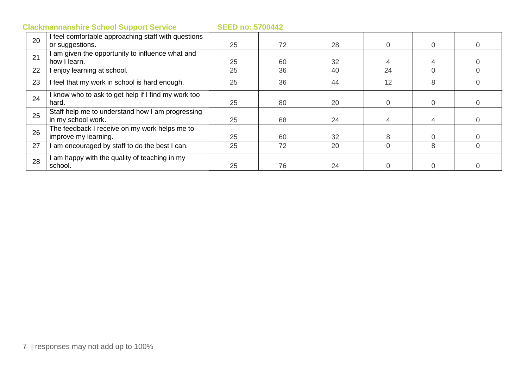| 20 | I feel comfortable approaching staff with questions |    |    |    |          |          |          |
|----|-----------------------------------------------------|----|----|----|----------|----------|----------|
|    | or suggestions.                                     | 25 | 72 | 28 | $\Omega$ | $\Omega$ | 0        |
| 21 | am given the opportunity to influence what and      |    |    |    |          |          |          |
|    | how I learn.                                        | 25 | 60 | 32 |          |          |          |
| 22 | enjoy learning at school.                           | 25 | 36 | 40 | 24       | $\Omega$ |          |
| 23 | I feel that my work in school is hard enough.       | 25 | 36 | 44 | 12       | 8        |          |
| 24 | I know who to ask to get help if I find my work too |    |    |    |          |          |          |
|    | hard.                                               | 25 | 80 | 20 | $\Omega$ | $\Omega$ | $\Omega$ |
| 25 | Staff help me to understand how I am progressing    |    |    |    |          |          |          |
|    | in my school work.                                  | 25 | 68 | 24 |          |          |          |
| 26 | The feedback I receive on my work helps me to       |    |    |    |          |          |          |
|    | improve my learning.                                | 25 | 60 | 32 | 8        |          |          |
| 27 | am encouraged by staff to do the best I can.        | 25 | 72 | 20 | $\Omega$ | 8        |          |
| 28 | am happy with the quality of teaching in my         |    |    |    |          |          |          |
|    | school.                                             | 25 | 76 | 24 |          |          |          |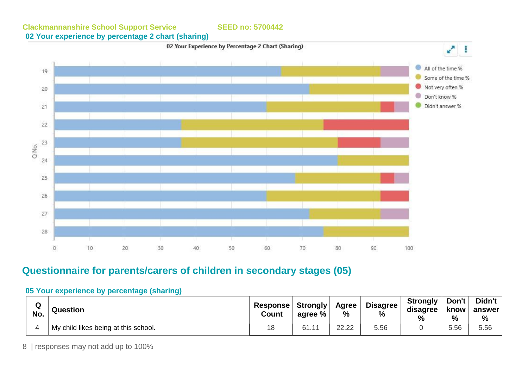**Clackmannanshire School Support Service SEED no: 5700442 02 Your experience by percentage 2 chart (sharing)** 





#### **05 Your experience by percentage (sharing)**

| Q<br>No. | Question                             | <b>Response Strongly</b><br>Count | agree %       | Agree<br>% | <b>Disagree</b><br>% | <b>Strongly</b><br>disagree<br>% | Don't<br>know<br>% | Didn't<br>answer<br>% |
|----------|--------------------------------------|-----------------------------------|---------------|------------|----------------------|----------------------------------|--------------------|-----------------------|
|          | My child likes being at this school. |                                   | 61.1<br>$-11$ | 22.22      | 5.56                 |                                  | 5.56               | 5.56                  |

**Questionnaire for parents/carers of children in secondary stages (05)**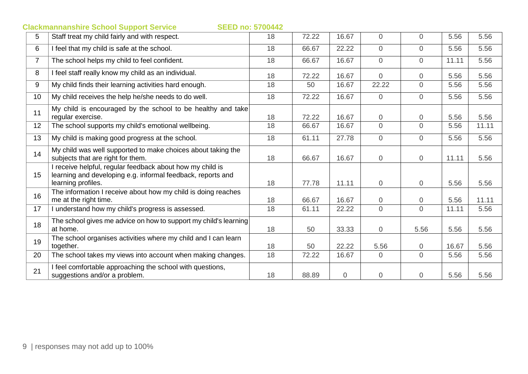|                | <b>SEED no: 5700442</b><br><b>Clackmannanshire School Support Service</b>                                                                      |    |       |       |                |                |       |       |
|----------------|------------------------------------------------------------------------------------------------------------------------------------------------|----|-------|-------|----------------|----------------|-------|-------|
| 5              | Staff treat my child fairly and with respect.                                                                                                  | 18 | 72.22 | 16.67 | $\mathbf 0$    | $\overline{0}$ | 5.56  | 5.56  |
| 6              | I feel that my child is safe at the school.                                                                                                    | 18 | 66.67 | 22.22 | $\overline{0}$ | $\overline{0}$ | 5.56  | 5.56  |
| $\overline{7}$ | The school helps my child to feel confident.                                                                                                   | 18 | 66.67 | 16.67 | $\overline{0}$ | $\Omega$       | 11.11 | 5.56  |
| 8              | I feel staff really know my child as an individual.                                                                                            | 18 | 72.22 | 16.67 | $\overline{0}$ | $\overline{0}$ | 5.56  | 5.56  |
| 9              | My child finds their learning activities hard enough.                                                                                          | 18 | 50    | 16.67 | 22.22          | $\overline{0}$ | 5.56  | 5.56  |
| 10             | My child receives the help he/she needs to do well.                                                                                            | 18 | 72.22 | 16.67 | $\mathbf 0$    | $\overline{0}$ | 5.56  | 5.56  |
| 11             | My child is encouraged by the school to be healthy and take<br>regular exercise.                                                               | 18 | 72.22 | 16.67 | $\overline{0}$ | $\overline{0}$ | 5.56  | 5.56  |
| 12             | The school supports my child's emotional wellbeing.                                                                                            | 18 | 66.67 | 16.67 | $\overline{0}$ | $\overline{0}$ | 5.56  | 11.11 |
| 13             | My child is making good progress at the school.                                                                                                | 18 | 61.11 | 27.78 | $\overline{0}$ | $\overline{0}$ | 5.56  | 5.56  |
| 14             | My child was well supported to make choices about taking the<br>subjects that are right for them.                                              | 18 | 66.67 | 16.67 | $\mathbf 0$    | $\overline{0}$ | 11.11 | 5.56  |
| 15             | I receive helpful, regular feedback about how my child is<br>learning and developing e.g. informal feedback, reports and<br>learning profiles. | 18 | 77.78 | 11.11 | $\overline{0}$ | $\overline{0}$ | 5.56  | 5.56  |
| 16             | The information I receive about how my child is doing reaches<br>me at the right time.                                                         | 18 | 66.67 | 16.67 | $\overline{0}$ | $\overline{0}$ | 5.56  | 11.11 |
| 17             | I understand how my child's progress is assessed.                                                                                              | 18 | 61.11 | 22.22 | $\Omega$       | $\Omega$       | 11.11 | 5.56  |
| 18             | The school gives me advice on how to support my child's learning<br>at home.                                                                   | 18 | 50    | 33.33 | $\overline{0}$ | 5.56           | 5.56  | 5.56  |
| 19             | The school organises activities where my child and I can learn<br>together.                                                                    | 18 | 50    | 22.22 | 5.56           | $\overline{0}$ | 16.67 | 5.56  |
| 20             | The school takes my views into account when making changes.                                                                                    | 18 | 72.22 | 16.67 | $\overline{0}$ | $\overline{0}$ | 5.56  | 5.56  |
| 21             | I feel comfortable approaching the school with questions,<br>suggestions and/or a problem.                                                     | 18 | 88.89 | 0     | $\overline{0}$ | $\overline{0}$ | 5.56  | 5.56  |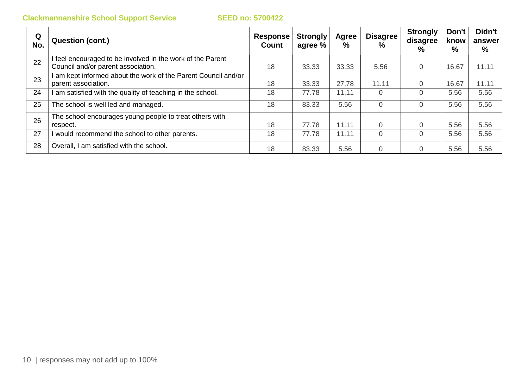| Q<br>No. | Question (cont.)                                                                                 | Response<br>Count | Strongly<br>agree % | Agree<br>% | Disagree<br>%  | <b>Strongly</b><br>disagree<br>% | Don't<br>know<br>% | Didn't<br>answer<br>% |
|----------|--------------------------------------------------------------------------------------------------|-------------------|---------------------|------------|----------------|----------------------------------|--------------------|-----------------------|
| 22       | I feel encouraged to be involved in the work of the Parent<br>Council and/or parent association. | 18                | 33.33               | 33.33      | 5.56           | $\Omega$                         | 16.67              | 11.11                 |
| 23       | am kept informed about the work of the Parent Council and/or<br>parent association.              | 18                | 33.33               | 27.78      | 11.11          |                                  | 16.67              | 11.11                 |
| 24       | am satisfied with the quality of teaching in the school.                                         | 18                | 77.78               | 11.11      | $\Omega$       |                                  | 5.56               | 5.56                  |
| 25       | The school is well led and managed.                                                              | 18                | 83.33               | 5.56       | $\overline{0}$ | $\Omega$                         | 5.56               | 5.56                  |
| 26       | The school encourages young people to treat others with<br>respect.                              | 18                | 77.78               | 11.11      | $\overline{0}$ |                                  | 5.56               | 5.56                  |
| 27       | would recommend the school to other parents.                                                     | 18                | 77.78               | 11.11      | $\Omega$       |                                  | 5.56               | 5.56                  |
| 28       | Overall, I am satisfied with the school.                                                         | 18                | 83.33               | 5.56       | $\Omega$       |                                  | 5.56               | 5.56                  |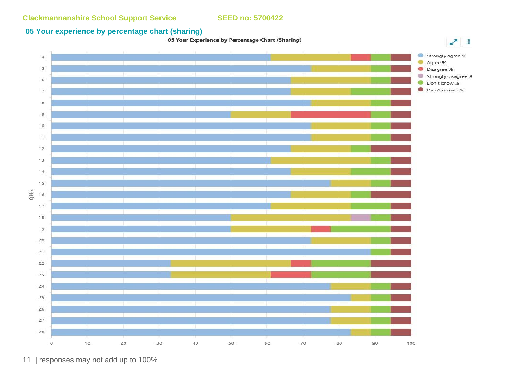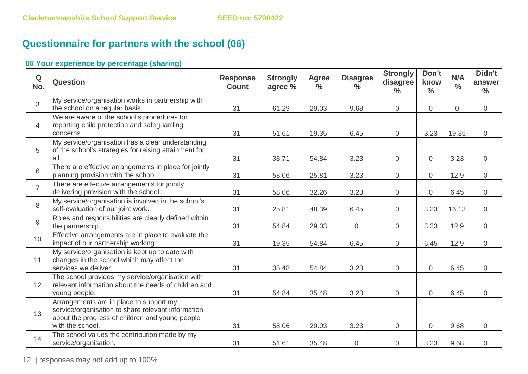# **Questionnaire for partners with the school (06)**

| Q<br>No.       | <b>Question</b>                                                                                                                                                      | <b>Response</b><br><b>Count</b> | <b>Strongly</b><br>agree % | <b>Agree</b><br>$\frac{6}{6}$ | <b>Disagree</b><br>$\%$ | <b>Strongly</b><br>disagree<br>$\frac{0}{0}$ | Don't<br>know<br>$\frac{0}{0}$ | N/A<br>$\frac{0}{0}$ | Didn't<br>answer<br>$\frac{0}{0}$ |
|----------------|----------------------------------------------------------------------------------------------------------------------------------------------------------------------|---------------------------------|----------------------------|-------------------------------|-------------------------|----------------------------------------------|--------------------------------|----------------------|-----------------------------------|
| 3              | My service/organisation works in partnership with<br>the school on a regular basis.                                                                                  | 31                              | 61.29                      | 29.03                         | 9.68                    | $\overline{0}$                               | $\overline{0}$                 | $\overline{0}$       | $\overline{0}$                    |
| $\overline{4}$ | We are aware of the school's procedures for<br>reporting child protection and safeguarding<br>concerns.                                                              | 31                              | 51.61                      | 19.35                         | 6.45                    | $\overline{0}$                               | 3.23                           | 19.35                | $\overline{0}$                    |
| 5              | My service/organisation has a clear understanding<br>of the school's strategies for raising attainment for<br>all.                                                   | 31                              | 38.71                      | 54.84                         | 3.23                    | $\overline{0}$                               | $\overline{0}$                 | 3.23                 | $\overline{0}$                    |
| 6              | There are effective arrangements in place for jointly<br>planning provision with the school.                                                                         | 31                              | 58.06                      | 25.81                         | 3.23                    | $\overline{0}$                               | $\overline{0}$                 | 12.9                 | $\overline{0}$                    |
| $\overline{7}$ | There are effective arrangements for jointly<br>delivering provision with the school.                                                                                | 31                              | 58.06                      | 32.26                         | 3.23                    | $\overline{0}$                               | $\overline{0}$                 | 6.45                 | $\overline{0}$                    |
| 8              | My service/organisation is involved in the school's<br>self-evaluation of our joint work.                                                                            | 31                              | 25.81                      | 48.39                         | 6.45                    | $\overline{0}$                               | 3.23                           | 16.13                | $\overline{0}$                    |
| 9              | Roles and responsibilities are clearly defined within<br>the partnership.                                                                                            | 31                              | 54.84                      | 29.03                         | $\mathbf 0$             | $\overline{0}$                               | 3.23                           | 12.9                 | $\overline{0}$                    |
| 10             | Effective arrangements are in place to evaluate the<br>impact of our partnership working.                                                                            | 31                              | 19.35                      | 54.84                         | 6.45                    | $\overline{0}$                               | 6.45                           | 12.9                 | $\overline{0}$                    |
| 11             | My service/organisation is kept up to date with<br>changes in the school which may affect the<br>services we deliver.                                                | 31                              | 35.48                      | 54.84                         | 3.23                    | $\overline{0}$                               | $\mathbf 0$                    | 6.45                 | 0                                 |
| 12             | The school provides my service/organisation with<br>relevant information about the needs of children and<br>young people.                                            | 31                              | 54.84                      | 35.48                         | 3.23                    | $\overline{0}$                               | $\mathbf 0$                    | 6.45                 | $\overline{0}$                    |
| 13             | Arrangements are in place to support my<br>service/organisation to share relevant information<br>about the progress of children and young people<br>with the school. | 31                              | 58.06                      | 29.03                         | 3.23                    | $\overline{0}$                               | $\overline{0}$                 | 9.68                 | $\overline{0}$                    |
| 14             | The school values the contribution made by my<br>service/organisation.                                                                                               | 31                              | 51.61                      | 35.48                         | 0                       | $\overline{0}$                               | 3.23                           | 9.68                 | 0                                 |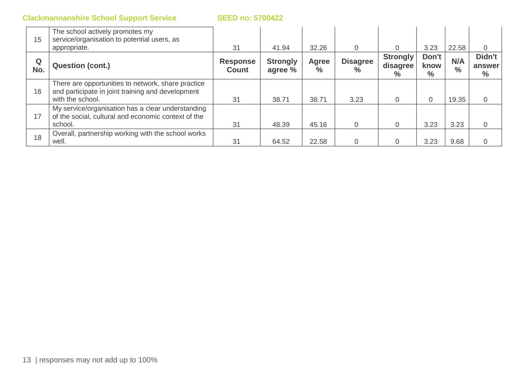| 15       | The school actively promotes my<br>service/organisation to potential users, as<br>appropriate.                              | 31                              | 41.94                      | 32.26                | $\Omega$                         |                                     | 3.23                           | 22.58                | 0                        |
|----------|-----------------------------------------------------------------------------------------------------------------------------|---------------------------------|----------------------------|----------------------|----------------------------------|-------------------------------------|--------------------------------|----------------------|--------------------------|
| Q<br>No. | <b>Question (cont.)</b>                                                                                                     | <b>Response</b><br><b>Count</b> | <b>Strongly</b><br>agree % | <b>Agree</b><br>$\%$ | <b>Disagree</b><br>$\frac{1}{2}$ | <b>Strongly</b><br>disagree<br>$\%$ | Don't<br>know<br>$\frac{0}{0}$ | N/A<br>$\frac{6}{6}$ | Didn't<br>answer<br>$\%$ |
| 16       | There are opportunities to network, share practice<br>and participate in joint training and development<br>with the school. | 31                              | 38.71                      | 38.71                | 3.23                             |                                     |                                | 19.35                | 0                        |
| 17       | My service/organisation has a clear understanding<br>of the social, cultural and economic context of the<br>school.         | 31                              | 48.39                      | 45.16                | $\overline{0}$                   | 0                                   | 3.23                           | 3.23                 |                          |
| 18       | Overall, partnership working with the school works<br>well.                                                                 | 31                              | 64.52                      | 22.58                | $\Omega$                         |                                     | 3.23                           | 9.68                 |                          |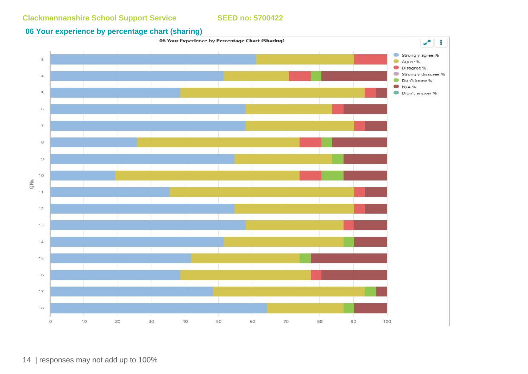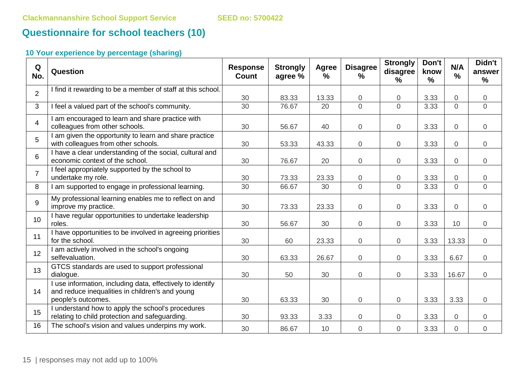# **Questionnaire for school teachers (10)**

| Q<br>No.       | Question                                                                                                                            | <b>Response</b><br><b>Count</b> | <b>Strongly</b><br>agree % | Agree<br>$\frac{9}{6}$ | <b>Disagree</b><br>$\%$ | <b>Strongly</b><br>disagree<br>$\frac{9}{6}$ | Don't<br>know<br>$\frac{9}{6}$ | N/A<br>$\frac{0}{0}$ | Didn't<br>answer<br>$\%$ |
|----------------|-------------------------------------------------------------------------------------------------------------------------------------|---------------------------------|----------------------------|------------------------|-------------------------|----------------------------------------------|--------------------------------|----------------------|--------------------------|
| $\overline{2}$ | I find it rewarding to be a member of staff at this school.                                                                         | 30                              | 83.33                      | 13.33                  | $\overline{0}$          | $\overline{0}$                               | 3.33                           | $\overline{0}$       | $\overline{0}$           |
| 3              | I feel a valued part of the school's community.                                                                                     | 30                              | 76.67                      | 20                     | $\Omega$                | $\overline{0}$                               | 3.33                           | $\Omega$             | $\overline{0}$           |
| $\overline{4}$ | I am encouraged to learn and share practice with<br>colleagues from other schools.                                                  | 30                              | 56.67                      | 40                     | $\mathbf 0$             | $\overline{0}$                               | 3.33                           | $\overline{0}$       | $\overline{0}$           |
| 5              | I am given the opportunity to learn and share practice<br>with colleagues from other schools.                                       | 30                              | 53.33                      | 43.33                  | $\mathbf 0$             | $\overline{0}$                               | 3.33                           | $\overline{0}$       | $\overline{0}$           |
| 6              | I have a clear understanding of the social, cultural and<br>economic context of the school.                                         | 30                              | 76.67                      | 20                     | $\overline{0}$          | $\overline{0}$                               | 3.33                           | $\overline{0}$       | $\overline{0}$           |
| $\overline{7}$ | I feel appropriately supported by the school to<br>undertake my role.                                                               | 30                              | 73.33                      | 23.33                  | $\overline{0}$          | $\overline{0}$                               | 3.33                           | $\mathbf 0$          | 0                        |
| 8              | I am supported to engage in professional learning.                                                                                  | 30                              | 66.67                      | 30                     | $\Omega$                | $\Omega$                                     | 3.33                           | $\Omega$             | $\overline{0}$           |
| 9              | My professional learning enables me to reflect on and<br>improve my practice.                                                       | 30                              | 73.33                      | 23.33                  | $\mathbf 0$             | $\overline{0}$                               | 3.33                           | $\overline{0}$       | $\overline{0}$           |
| 10             | I have regular opportunities to undertake leadership<br>roles.                                                                      | 30                              | 56.67                      | 30                     | $\overline{0}$          | $\mathbf 0$                                  | 3.33                           | 10                   | $\overline{0}$           |
| 11             | I have opportunities to be involved in agreeing priorities<br>for the school.                                                       | 30                              | 60                         | 23.33                  | $\mathbf 0$             | $\overline{0}$                               | 3.33                           | 13.33                | $\overline{0}$           |
| 12             | I am actively involved in the school's ongoing<br>selfevaluation.                                                                   | 30                              | 63.33                      | 26.67                  | $\mathbf 0$             | $\overline{0}$                               | 3.33                           | 6.67                 | $\overline{0}$           |
| 13             | GTCS standards are used to support professional<br>dialogue.                                                                        | 30                              | 50                         | 30                     | $\overline{0}$          | $\Omega$                                     | 3.33                           | 16.67                | $\overline{0}$           |
| 14             | I use information, including data, effectively to identify<br>and reduce inequalities in children's and young<br>people's outcomes. | 30                              | 63.33                      | 30                     | $\overline{0}$          | $\overline{0}$                               | 3.33                           | 3.33                 | $\overline{0}$           |
| 15             | I understand how to apply the school's procedures<br>relating to child protection and safeguarding.                                 | 30                              | 93.33                      | 3.33                   | $\mathbf 0$             | $\boldsymbol{0}$                             | 3.33                           | $\overline{0}$       | $\mathbf 0$              |
| 16             | The school's vision and values underpins my work.                                                                                   | 30                              | 86.67                      | 10                     | $\overline{0}$          | $\overline{0}$                               | 3.33                           | $\overline{0}$       | $\mathbf 0$              |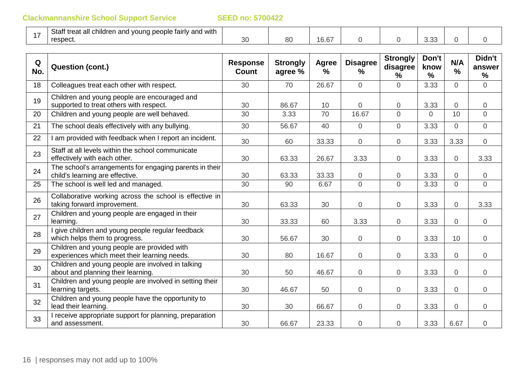| $\overline{\phantom{0}}$ | $C + \alpha$ ff<br>I young people fairly and with<br>i treat all children and<br>old ' |          |    |                                         |  |               |  |
|--------------------------|----------------------------------------------------------------------------------------|----------|----|-----------------------------------------|--|---------------|--|
|                          | respect.                                                                               | n,<br>ΟU | 80 | $\lambda$ $\cap$ $\sim$<br>تمار<br>U.UI |  | $\sim$<br>しぃし |  |

| Q<br>No. | <b>Question (cont.)</b>                                                                     | <b>Response</b><br><b>Count</b> | <b>Strongly</b><br>agree % | <b>Agree</b><br>$\frac{9}{6}$ | <b>Disagree</b><br>$\%$ | <b>Strongly</b><br>disagree<br>% | Don't<br>know<br>$\%$ | N/A<br>$\frac{0}{0}$ | Didn't<br>answer<br>$\frac{9}{6}$ |
|----------|---------------------------------------------------------------------------------------------|---------------------------------|----------------------------|-------------------------------|-------------------------|----------------------------------|-----------------------|----------------------|-----------------------------------|
| 18       | Colleagues treat each other with respect.                                                   | 30                              | 70                         | 26.67                         | $\overline{0}$          | $\overline{0}$                   | 3.33                  | $\overline{0}$       | $\overline{0}$                    |
| 19       | Children and young people are encouraged and<br>supported to treat others with respect.     | 30                              | 86.67                      | 10                            | 0                       | $\overline{0}$                   | 3.33                  | $\overline{0}$       | $\overline{0}$                    |
| 20       | Children and young people are well behaved.                                                 | 30                              | 3.33                       | 70                            | 16.67                   | $\Omega$                         | $\Omega$              | 10                   | $\overline{0}$                    |
| 21       | The school deals effectively with any bullying.                                             | 30                              | 56.67                      | 40                            | $\overline{0}$          | $\overline{0}$                   | 3.33                  | $\overline{0}$       | $\overline{0}$                    |
| 22       | am provided with feedback when I report an incident.                                        | 30                              | 60                         | 33.33                         | $\mathbf 0$             | $\overline{0}$                   | 3.33                  | 3.33                 | $\overline{0}$                    |
| 23       | Staff at all levels within the school communicate<br>effectively with each other.           | 30                              | 63.33                      | 26.67                         | 3.33                    | $\overline{0}$                   | 3.33                  | $\overline{0}$       | 3.33                              |
| 24       | The school's arrangements for engaging parents in their<br>child's learning are effective.  | 30                              | 63.33                      | 33.33                         | $\overline{0}$          | $\boldsymbol{0}$                 | 3.33                  | $\overline{0}$       | $\overline{0}$                    |
| 25       | The school is well led and managed.                                                         | 30                              | 90                         | 6.67                          | $\Omega$                | $\Omega$                         | 3.33                  | $\Omega$             | $\overline{O}$                    |
| 26       | Collaborative working across the school is effective in<br>taking forward improvement.      | 30                              | 63.33                      | 30                            | $\overline{0}$          | $\overline{0}$                   | 3.33                  | $\overline{0}$       | 3.33                              |
| 27       | Children and young people are engaged in their<br>learning.                                 | 30                              | 33.33                      | 60                            | 3.33                    | $\overline{0}$                   | 3.33                  | $\overline{0}$       | $\overline{0}$                    |
| 28       | give children and young people regular feedback<br>which helps them to progress.            | 30                              | 56.67                      | 30                            | $\overline{0}$          | $\overline{0}$                   | 3.33                  | 10                   | $\overline{0}$                    |
| 29       | Children and young people are provided with<br>experiences which meet their learning needs. | 30                              | 80                         | 16.67                         | 0                       | $\overline{0}$                   | 3.33                  | $\overline{0}$       | $\overline{0}$                    |
| 30       | Children and young people are involved in talking<br>about and planning their learning.     | 30                              | 50                         | 46.67                         | $\mathbf 0$             | $\overline{0}$                   | 3.33                  | $\overline{0}$       | $\overline{0}$                    |
| 31       | Children and young people are involved in setting their<br>learning targets.                | 30                              | 46.67                      | 50                            | $\overline{0}$          | $\overline{0}$                   | 3.33                  | $\overline{0}$       | $\overline{0}$                    |
| 32       | Children and young people have the opportunity to<br>lead their learning.                   | 30                              | 30                         | 66.67                         | $\overline{0}$          | $\overline{0}$                   | 3.33                  | $\overline{0}$       | $\overline{0}$                    |
| 33       | I receive appropriate support for planning, preparation<br>and assessment.                  | 30                              | 66.67                      | 23.33                         | $\mathbf 0$             | $\boldsymbol{0}$                 | 3.33                  | 6.67                 | $\overline{0}$                    |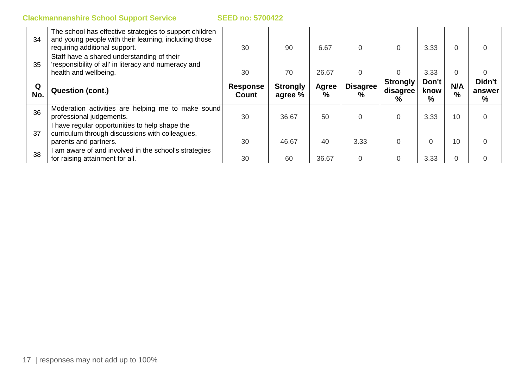| 34       | The school has effective strategies to support children<br>and young people with their learning, including those<br>requiring additional support. | 30                       | 90                         | 6.67              | $\Omega$                | $\Omega$                         | 3.33               | $\Omega$             |                       |
|----------|---------------------------------------------------------------------------------------------------------------------------------------------------|--------------------------|----------------------------|-------------------|-------------------------|----------------------------------|--------------------|----------------------|-----------------------|
| 35       | Staff have a shared understanding of their<br>'responsibility of all' in literacy and numeracy and<br>health and wellbeing.                       | 30                       | 70                         | 26.67             |                         |                                  | 3.33               | $\Omega$             |                       |
| Q<br>No. | <b>Question (cont.)</b>                                                                                                                           | <b>Response</b><br>Count | <b>Strongly</b><br>agree % | <b>Agree</b><br>% | <b>Disagree</b><br>$\%$ | <b>Strongly</b><br>disagree<br>% | Don't<br>know<br>% | N/A<br>$\frac{9}{6}$ | Didn't<br>answer<br>% |
| 36       | Moderation activities are helping me to make sound<br>professional judgements.                                                                    | 30                       | 36.67                      | 50                | 0                       | 0                                | 3.33               | 10                   |                       |
| 37       | I have regular opportunities to help shape the<br>curriculum through discussions with colleagues,<br>parents and partners.                        | 30                       | 46.67                      | 40                | 3.33                    |                                  |                    | 10                   |                       |
| 38       | am aware of and involved in the school's strategies<br>for raising attainment for all.                                                            | 30                       | 60                         | 36.67             |                         |                                  | 3.33               |                      |                       |